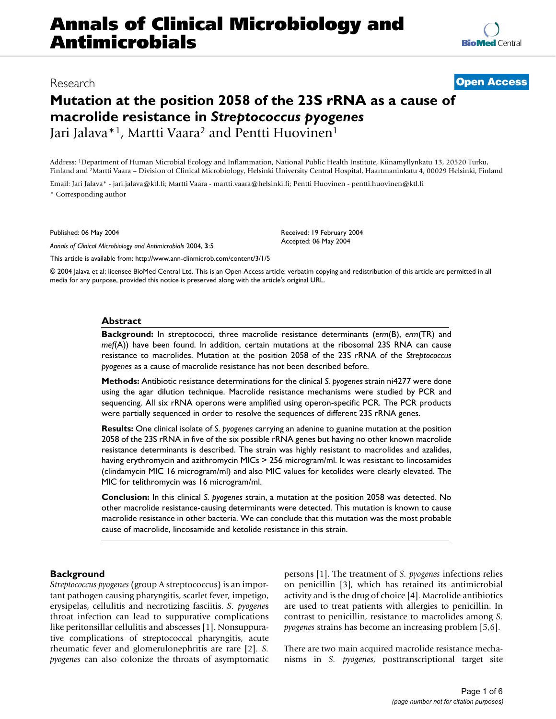# **Annals of Clinical Microbiology and Antimicrobials**

**[BioMed](http://www.biomedcentral.com/)** Central

# **Mutation at the position 2058 of the 23S rRNA as a cause of macrolide resistance in** *Streptococcus pyogenes* Jari Jalava<sup>\*1</sup>, Martti Vaara<sup>2</sup> and Pentti Huovinen<sup>1</sup>

Address: 1Department of Human Microbial Ecology and Inflammation, National Public Health Institute, Kiinamyllynkatu 13, 20520 Turku, Finland and 2Martti Vaara – Division of Clinical Microbiology, Helsinki University Central Hospital, Haartmaninkatu 4, 00029 Helsinki, Finland

Email: Jari Jalava\* - jari.jalava@ktl.fi; Martti Vaara - martti.vaara@helsinki.fi; Pentti Huovinen - pentti.huovinen@ktl.fi \* Corresponding author

Published: 06 May 2004

*Annals of Clinical Microbiology and Antimicrobials* 2004, **3**:5

Received: 19 February 2004 Accepted: 06 May 2004

[This article is available from: http://www.ann-clinmicrob.com/content/3/1/5](http://www.ann-clinmicrob.com/content/3/1/5)

© 2004 Jalava et al; licensee BioMed Central Ltd. This is an Open Access article: verbatim copying and redistribution of this article are permitted in all media for any purpose, provided this notice is preserved along with the article's original URL.

#### **Abstract**

**Background:** In streptococci, three macrolide resistance determinants (*erm*(B), *erm*(TR) and *mef*(A)) have been found. In addition, certain mutations at the ribosomal 23S RNA can cause resistance to macrolides. Mutation at the position 2058 of the 23S rRNA of the *Streptococcus pyogenes* as a cause of macrolide resistance has not been described before.

**Methods:** Antibiotic resistance determinations for the clinical *S. pyogenes* strain ni4277 were done using the agar dilution technique. Macrolide resistance mechanisms were studied by PCR and sequencing. All six rRNA operons were amplified using operon-specific PCR. The PCR products were partially sequenced in order to resolve the sequences of different 23S rRNA genes.

**Results:** One clinical isolate of *S. pyogenes* carrying an adenine to guanine mutation at the position 2058 of the 23S rRNA in five of the six possible rRNA genes but having no other known macrolide resistance determinants is described. The strain was highly resistant to macrolides and azalides, having erythromycin and azithromycin MICs > 256 microgram/ml. It was resistant to lincosamides (clindamycin MIC 16 microgram/ml) and also MIC values for ketolides were clearly elevated. The MIC for telithromycin was 16 microgram/ml.

**Conclusion:** In this clinical *S. pyogenes* strain, a mutation at the position 2058 was detected. No other macrolide resistance-causing determinants were detected. This mutation is known to cause macrolide resistance in other bacteria. We can conclude that this mutation was the most probable cause of macrolide, lincosamide and ketolide resistance in this strain.

# **Background**

*Streptococcus pyogenes* (group A streptococcus) is an important pathogen causing pharyngitis, scarlet fever, impetigo, erysipelas, cellulitis and necrotizing fasciitis. *S. pyogene*s throat infection can lead to suppurative complications like peritonsillar cellulitis and abscesses [1]. Nonsuppurative complications of streptococcal pharyngitis, acute rheumatic fever and glomerulonephritis are rare [2]. *S. pyogenes* can also colonize the throats of asymptomatic persons [1]. The treatment of *S. pyogenes* infections relies on penicillin [3], which has retained its antimicrobial activity and is the drug of choice [4]. Macrolide antibiotics are used to treat patients with allergies to penicillin. In contrast to penicillin, resistance to macrolides among *S. pyogenes* strains has become an increasing problem [5,6].

There are two main acquired macrolide resistance mechanisms in *S. pyogenes*, posttranscriptional target site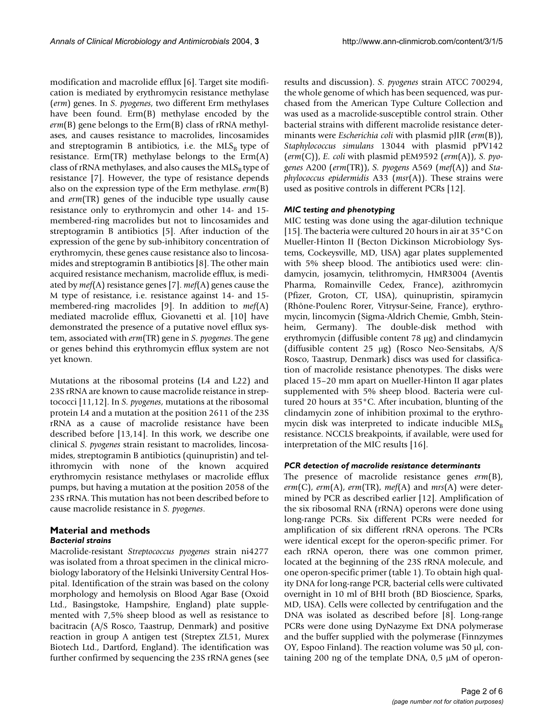modification and macrolide efflux [6]. Target site modification is mediated by erythromycin resistance methylase (*erm*) genes. In *S. pyogenes*, two different Erm methylases have been found. Erm(B) methylase encoded by the *erm*(B) gene belongs to the Erm(B) class of rRNA methylases, and causes resistance to macrolides, lincosamides and streptogramin B antibiotics, i.e. the  $MLS<sub>B</sub>$  type of resistance. Erm(TR) methylase belongs to the Erm(A) class of rRNA methylases, and also causes the  $MLS<sub>B</sub>$  type of resistance [7]. However, the type of resistance depends also on the expression type of the Erm methylase. *erm*(B) and *erm*(TR) genes of the inducible type usually cause resistance only to erythromycin and other 14- and 15 membered-ring macrolides but not to lincosamides and streptogramin B antibiotics [5]. After induction of the expression of the gene by sub-inhibitory concentration of erythromycin, these genes cause resistance also to lincosamides and streptogramin B antibiotics [8]. The other main acquired resistance mechanism, macrolide efflux, is mediated by *mef*(A) resistance genes [7]. *mef*(A) genes cause the M type of resistance, i.e. resistance against 14- and 15 membered-ring macrolides [9]. In addition to *mef*(A) mediated macrolide efflux, Giovanetti et al. [10] have demonstrated the presence of a putative novel efflux system, associated with *erm*(TR) gene in *S. pyogenes*. The gene or genes behind this erythromycin efflux system are not yet known.

Mutations at the ribosomal proteins (L4 and L22) and 23S rRNA are known to cause macrolide reistance in streptococci [11,12]. In *S. pyogenes*, mutations at the ribosomal protein L4 and a mutation at the position 2611 of the 23S rRNA as a cause of macrolide resistance have been described before [13,14]. In this work, we describe one clinical *S. pyogenes* strain resistant to macrolides, lincosamides, streptogramin B antibiotics (quinupristin) and telithromycin with none of the known acquired erythromycin resistance methylases or macrolide efflux pumps, but having a mutation at the position 2058 of the 23S rRNA. This mutation has not been described before to cause macrolide resistance in *S. pyogenes*.

# **Material and methods** *Bacterial strains*

Macrolide-resistant *Streptococcus pyogenes* strain ni4277 was isolated from a throat specimen in the clinical microbiology laboratory of the Helsinki University Central Hospital. Identification of the strain was based on the colony morphology and hemolysis on Blood Agar Base (Oxoid Ltd., Basingstoke, Hampshire, England) plate supplemented with 7,5% sheep blood as well as resistance to bacitracin (A/S Rosco, Taastrup, Denmark) and positive reaction in group A antigen test (Streptex ZL51, Murex Biotech Ltd., Dartford, England). The identification was further confirmed by sequencing the 23S rRNA genes (see results and discussion). *S. pyogenes* strain ATCC 700294, the whole genome of which has been sequenced, was purchased from the American Type Culture Collection and was used as a macrolide-susceptible control strain. Other bacterial strains with different macrolide resistance determinants were *Escherichia coli* with plasmid pJIR (*erm*(B)), *Staphylococcus simulans* 13044 with plasmid pPV142 (*erm*(C)), *E. coli* with plasmid pEM9592 (*erm*(A)), *S. pyogenes* A200 (*erm*(TR)), *S. pyogens* A569 (*mef*(A)) and *Staphylococcus epidermidis* A33 (*msr*(A)). These strains were used as positive controls in different PCRs [12].

# *MIC testing and phenotyping*

MIC testing was done using the agar-dilution technique [15]. The bacteria were cultured 20 hours in air at 35°C on Mueller-Hinton II (Becton Dickinson Microbiology Systems, Cockeysville, MD, USA) agar plates supplemented with 5% sheep blood. The antibiotics used were: clindamycin, josamycin, telithromycin, HMR3004 (Aventis Pharma, Romainville Cedex, France), azithromycin (Pfizer, Groton, CT, USA), quinupristin, spiramycin (Rhône-Poulenc Rorer, Vitrysur-Seine, France), erythromycin, lincomycin (Sigma-Aldrich Chemie, Gmbh, Steinheim, Germany). The double-disk method with erythromycin (diffusible content 78 µg) and clindamycin (diffusible content 25 µg) (Rosco Neo-Sensitabs, A/S Rosco, Taastrup, Denmark) discs was used for classification of macrolide resistance phenotypes. The disks were placed 15–20 mm apart on Mueller-Hinton II agar plates supplemented with 5% sheep blood. Bacteria were cultured 20 hours at 35°C. After incubation, blunting of the clindamycin zone of inhibition proximal to the erythromycin disk was interpreted to indicate inducible  $MLS<sub>B</sub>$ resistance. NCCLS breakpoints, if available, were used for interpretation of the MIC results [16].

# *PCR detection of macrolide resistance determinants*

The presence of macrolide resistance genes *erm*(B), *erm*(C), *erm*(A), *erm*(TR), *mef*(A) and *mrs*(A) were determined by PCR as described earlier [12]. Amplification of the six ribosomal RNA (rRNA) operons were done using long-range PCRs. Six different PCRs were needed for amplification of six different rRNA operons. The PCRs were identical except for the operon-specific primer. For each rRNA operon, there was one common primer, located at the beginning of the 23S rRNA molecule, and one operon-specific primer (table [1](#page-2-0)). To obtain high quality DNA for long-range PCR, bacterial cells were cultivated overnight in 10 ml of BHI broth (BD Bioscience, Sparks, MD, USA). Cells were collected by centrifugation and the DNA was isolated as described before [8]. Long-range PCRs were done using DyNazyme Ext DNA polymerase and the buffer supplied with the polymerase (Finnzymes OY, Espoo Finland). The reaction volume was 50 µl, containing 200 ng of the template DNA, 0,5 µM of operon-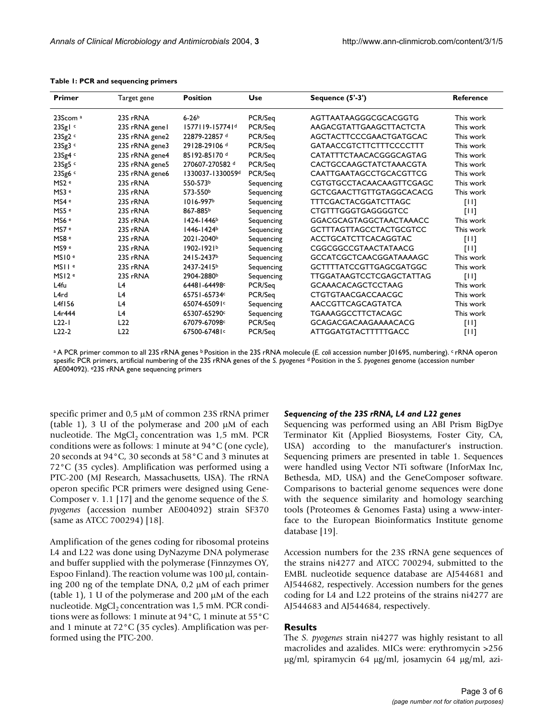| Primer              | Target gene    | <b>Position</b>             | Use        | Sequence $(5'-3')$              | <b>Reference</b> |
|---------------------|----------------|-----------------------------|------------|---------------------------------|------------------|
| 23Scom <sup>a</sup> | 23S rRNA       | $6 - 26b$                   | PCR/Seq    | AGTTAATAAGGGCGCACGGTG           | This work        |
| 23Sglc              | 23S rRNA genel | 1577119-157741 <sup>d</sup> | PCR/Seq    | AAGACGTATTGAAGCTTACTCTA         | This work        |
| 23Sg2c              | 23S rRNA gene2 | 22879-22857 d               | PCR/Seq    | AGCTACTTCCCGAACTGATGCAC         | This work        |
| 23Sg3 c             | 23S rRNA gene3 | 29128-29106 <sup>d</sup>    | PCR/Seq    | <b>GATAACCGTCTTCTTTCCCCTTT</b>  | This work        |
| 23Sg4 c             | 23S rRNA gene4 | 85192-85170 d               | PCR/Seq    | CATATTTCTAACACGGGCAGTAG         | This work        |
| 23Sg5 c             | 23S rRNA gene5 | 270607-270582 d             | PCR/Seq    | CACTGCCAAGCTATCTAAACGTA         | This work        |
| 23Sg6 c             | 23S rRNA gene6 | 1330037-1330059d            | PCR/Seq    | CAATTGAATAGCCTGCACGTTCG         | This work        |
| MS2 <sup>e</sup>    | 23S rRNA       | 550-573b                    | Sequencing | CGTGTGCCTACAACAAGTTCGAGC        | This work        |
| MS3 <sup>e</sup>    | 23S rRNA       | 573-550 <sup>b</sup>        | Sequencing | <b>GCTCGAACTTGTTGTAGGCACACG</b> | This work        |
| MS4 e               | 23S rRNA       | 1016-997b                   | Sequencing | <b>TTTCGACTACGGATCTTAGC</b>     | $[11]$           |
| MS5 <sup>e</sup>    | 23S rRNA       | 867-885b                    | Sequencing | <b>CTGTTTGGGTGAGGGGTCC</b>      | [11]             |
| MS6 <sup>e</sup>    | 23S rRNA       | 1424-1446 <sup>b</sup>      | Sequencing | <b>GGACGCAGTAGGCTAACTAAACC</b>  | This work        |
| MS7 <sup>e</sup>    | 23S rRNA       | 1446-1424b                  | Sequencing | <b>GCTTTAGTTAGCCTACTGCGTCC</b>  | This work        |
| MS8 <sup>e</sup>    | 23S rRNA       | 2021-2040b                  | Sequencing | <b>ACCTGCATCTTCACAGGTAC</b>     | [11]             |
| MS9 <sup>e</sup>    | 23S rRNA       | 1902-1921b                  | Sequencing | CGGCGGCCGTAACTATAACG            | [11]             |
| MSIOe               | 23S rRNA       | 2415-2437b                  | Sequencing | <b>GCCATCGCTCAACGGATAAAAGC</b>  | This work        |
| MSII <sup>e</sup>   | 23S rRNA       | 2437-2415b                  | Sequencing | <b>GCTTTTATCCGTTGAGCGATGGC</b>  | This work        |
| MSI2e               | 23S rRNA       | 2904-2880b                  | Sequencing | <b>TTGGATAAGTCCTCGAGCTATTAG</b> | $[11]$           |
| L <sub>4fu</sub>    | L <sub>4</sub> | 64481-64498c                | PCR/Seq    | <b>GCAAACACAGCTCCTAAG</b>       | This work        |
| L <sub>4rd</sub>    | L <sub>4</sub> | 65751-65734c                | PCR/Seq    | <b>CTGTGTAACGACCAACGC</b>       | This work        |
| L4f156              | L4             | 65074-65091c                | Sequencing | AACCGTTCAGCAGTATCA              | This work        |
| L4r444              | L4             | 65307-65290c                | Sequencing | <b>TGAAAGGCCTTCTACAGC</b>       | This work        |
| $L22-I$             | L22            | 67079-67098c                | PCR/Seq    | <b>GCAGACGACAAGAAAACACG</b>     | [11]             |
| $L22-2$             | L22            | 67500-67481c                | PCR/Seq    | <b>ATTGGATGTACTTTTTGACC</b>     | [11]             |

<span id="page-2-0"></span>**Table 1: PCR and sequencing primers**

a A PCR primer common to all 23S rRNA genes <sup>b</sup> Position in the 23S rRNA molecule (*E. coli* accession number 101695, numbering). <sup>c</sup> rRNA operon spesific PCR primers, artificial numbering of the 23S rRNA genes of the *S. pyogenes* d Position in the *S. pyogenes* genome (accession number AE004092). e23S rRNA gene sequencing primers

specific primer and 0,5 µM of common 23S rRNA primer (table [1\)](#page-2-0), 3 U of the polymerase and 200 µM of each nucleotide. The MgCl<sub>2</sub> concentration was  $1,5$  mM. PCR conditions were as follows: 1 minute at 94°C (one cycle), 20 seconds at 94°C, 30 seconds at 58°C and 3 minutes at 72°C (35 cycles). Amplification was performed using a PTC-200 (MJ Research, Massachusetts, USA). The rRNA operon specific PCR primers were designed using Gene-Composer v. 1.1 [17] and the genome sequence of the *S. pyogenes* (accession number AE004092) strain SF370 (same as ATCC 700294) [18].

Amplification of the genes coding for ribosomal proteins L4 and L22 was done using DyNazyme DNA polymerase and buffer supplied with the polymerase (Finnzymes OY, Espoo Finland). The reaction volume was  $100 \mu l$ , containing 200 ng of the template DNA, 0,2 µM of each primer (table [1](#page-2-0)), 1 U of the polymerase and 200 µM of the each nucleotide. MgCl<sub>2</sub> concentration was  $1.5$  mM. PCR conditions were as follows: 1 minute at 94°C, 1 minute at 55°C and 1 minute at 72°C (35 cycles). Amplification was performed using the PTC-200.

#### *Sequencing of the 23S rRNA, L4 and L22 genes*

Sequencing was performed using an ABI Prism BigDye Terminator Kit (Applied Biosystems, Foster City, CA, USA) according to the manufacturer's instruction. Sequencing primers are presented in table [1](#page-2-0). Sequences were handled using Vector NTi software (InforMax Inc, Bethesda, MD, USA) and the GeneComposer software. Comparisons to bacterial genome sequences were done with the sequence similarity and homology searching tools (Proteomes & Genomes Fasta) using a www-interface to the European Bioinformatics Institute genome database [19].

Accession numbers for the 23S rRNA gene sequences of the strains ni4277 and ATCC 700294, submitted to the EMBL nucleotide sequence database are AJ544681 and AJ544682, respectively. Accession numbers for the genes coding for L4 and L22 proteins of the strains ni4277 are AJ544683 and AJ544684, respectively.

### **Results**

The *S. pyogenes* strain ni4277 was highly resistant to all macrolides and azalides. MICs were: erythromycin >256 µg/ml, spiramycin 64 µg/ml, josamycin 64 µg/ml, azi-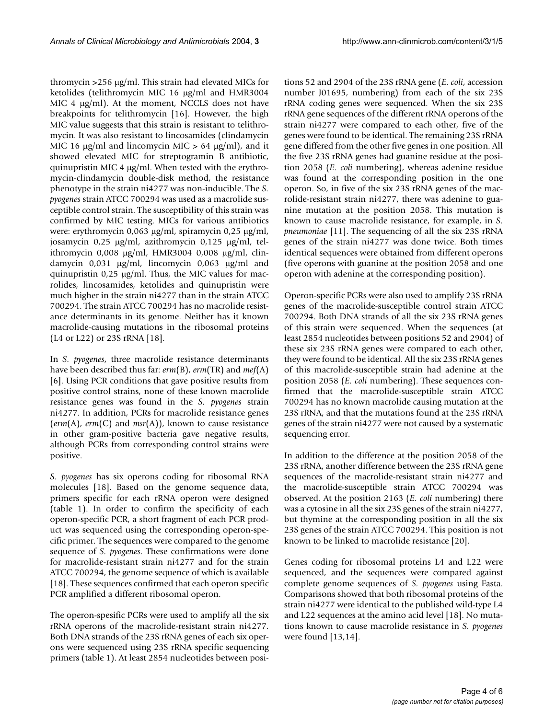thromycin >256 µg/ml. This strain had elevated MICs for ketolides (telithromycin MIC 16 µg/ml and HMR3004 MIC 4 µg/ml). At the moment, NCCLS does not have breakpoints for telithromycin [16]. However, the high MIC value suggests that this strain is resistant to telithromycin. It was also resistant to lincosamides (clindamycin MIC 16  $\mu$ g/ml and lincomycin MIC > 64  $\mu$ g/ml), and it showed elevated MIC for streptogramin B antibiotic, quinupristin MIC 4 µg/ml. When tested with the erythromycin-clindamycin double-disk method, the resistance phenotype in the strain ni4277 was non-inducible. The *S. pyogenes* strain ATCC 700294 was used as a macrolide susceptible control strain. The susceptibility of this strain was confirmed by MIC testing. MICs for various antibiotics were: erythromycin 0,063 µg/ml, spiramycin 0,25 µg/ml, josamycin 0,25 µg/ml, azithromycin 0,125 µg/ml, telithromycin 0,008 µg/ml, HMR3004 0,008 µg/ml, clindamycin 0,031 µg/ml, lincomycin 0,063 µg/ml and quinupristin  $0.25 \mu g/ml$ . Thus, the MIC values for macrolides, lincosamides, ketolides and quinupristin were much higher in the strain ni4277 than in the strain ATCC 700294. The strain ATCC 700294 has no macrolide resistance determinants in its genome. Neither has it known macrolide-causing mutations in the ribosomal proteins (L4 or L22) or 23S rRNA [18].

In *S. pyogenes*, three macrolide resistance determinants have been described thus far: *erm*(B), *erm*(TR) and *mef*(A) [6]. Using PCR conditions that gave positive results from positive control strains, none of these known macrolide resistance genes was found in the *S. pyogenes* strain ni4277. In addition, PCRs for macrolide resistance genes (*erm*(A), *erm*(C) and *msr*(A)), known to cause resistance in other gram-positive bacteria gave negative results, although PCRs from corresponding control strains were positive.

*S. pyogenes* has six operons coding for ribosomal RNA molecules [18]. Based on the genome sequence data, primers specific for each rRNA operon were designed (table [1\)](#page-2-0). In order to confirm the specificity of each operon-specific PCR, a short fragment of each PCR product was sequenced using the corresponding operon-specific primer. The sequences were compared to the genome sequence of *S. pyogenes*. These confirmations were done for macrolide-resistant strain ni4277 and for the strain ATCC 700294, the genome sequence of which is available [18]. These sequences confirmed that each operon specific PCR amplified a different ribosomal operon.

The operon-spesific PCRs were used to amplify all the six rRNA operons of the macrolide-resistant strain ni4277. Both DNA strands of the 23S rRNA genes of each six operons were sequenced using 23S rRNA specific sequencing primers (table [1](#page-2-0)). At least 2854 nucleotides between positions 52 and 2904 of the 23S rRNA gene (*E. coli*, accession number J01695, numbering) from each of the six 23S rRNA coding genes were sequenced. When the six 23S rRNA gene sequences of the different rRNA operons of the strain ni4277 were compared to each other, five of the genes were found to be identical. The remaining 23S rRNA gene differed from the other five genes in one position. All the five 23S rRNA genes had guanine residue at the position 2058 (*E. coli* numbering), whereas adenine residue was found at the corresponding position in the one operon. So, in five of the six 23S rRNA genes of the macrolide-resistant strain ni4277, there was adenine to guanine mutation at the position 2058. This mutation is known to cause macrolide resistance, for example, in *S. pneumoniae* [11]. The sequencing of all the six 23S rRNA genes of the strain ni4277 was done twice. Both times identical sequences were obtained from different operons (five operons with guanine at the position 2058 and one operon with adenine at the corresponding position).

Operon-specific PCRs were also used to amplify 23S rRNA genes of the macrolide-susceptible control strain ATCC 700294. Both DNA strands of all the six 23S rRNA genes of this strain were sequenced. When the sequences (at least 2854 nucleotides between positions 52 and 2904) of these six 23S rRNA genes were compared to each other, they were found to be identical. All the six 23S rRNA genes of this macrolide-susceptible strain had adenine at the position 2058 (*E. coli* numbering). These sequences confirmed that the macrolide-susceptible strain ATCC 700294 has no known macrolide causing mutation at the 23S rRNA, and that the mutations found at the 23S rRNA genes of the strain ni4277 were not caused by a systematic sequencing error.

In addition to the difference at the position 2058 of the 23S rRNA, another difference between the 23S rRNA gene sequences of the macrolide-resistant strain ni4277 and the macrolide-susceptible strain ATCC 700294 was observed. At the position 2163 (*E. coli* numbering) there was a cytosine in all the six 23S genes of the strain ni4277, but thymine at the corresponding position in all the six 23S genes of the strain ATCC 700294. This position is not known to be linked to macrolide resistance [20].

Genes coding for ribosomal proteins L4 and L22 were sequenced, and the sequences were compared against complete genome sequences of *S. pyogenes* using Fasta. Comparisons showed that both ribosomal proteins of the strain ni4277 were identical to the published wild-type L4 and L22 sequences at the amino acid level [18]. No mutations known to cause macrolide resistance in *S. pyogenes* were found [13,14].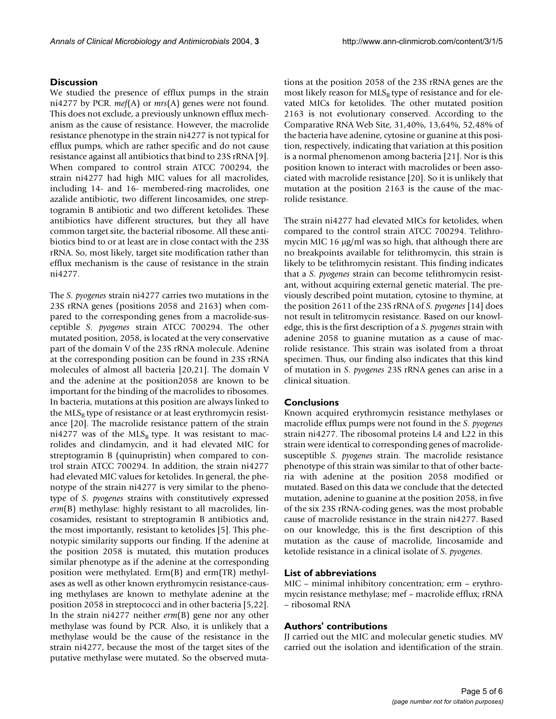# **Discussion**

We studied the presence of efflux pumps in the strain ni4277 by PCR. *mef*(A) or *mrs*(A) genes were not found. This does not exclude, a previously unknown efflux mechanism as the cause of resistance. However, the macrolide resistance phenotype in the strain ni4277 is not typical for efflux pumps, which are rather specific and do not cause resistance against all antibiotics that bind to 23S rRNA [9]. When compared to control strain ATCC 700294, the strain ni4277 had high MIC values for all macrolides, including 14- and 16- membered-ring macrolides, one azalide antibiotic, two different lincosamides, one streptogramin B antibiotic and two different ketolides. These antibiotics have different structures, but they all have common target site, the bacterial ribosome. All these antibiotics bind to or at least are in close contact with the 23S rRNA. So, most likely, target site modification rather than efflux mechanism is the cause of resistance in the strain ni4277.

The *S. pyogenes* strain ni4277 carries two mutations in the 23S rRNA genes (positions 2058 and 2163) when compared to the corresponding genes from a macrolide-susceptible *S. pyogenes* strain ATCC 700294. The other mutated position, 2058, is located at the very conservative part of the domain V of the 23S rRNA molecule. Adenine at the corresponding position can be found in 23S rRNA molecules of almost all bacteria [20,21]. The domain V and the adenine at the position2058 are known to be important for the binding of the macrolides to ribosomes. In bacteria, mutations at this position are always linked to the  $MLS<sub>B</sub>$  type of resistance or at least erythromycin resistance [20]. The macrolide resistance pattern of the strain ni4277 was of the  $MLS_B$  type. It was resistant to macrolides and clindamycin, and it had elevated MIC for streptogramin B (quinupristin) when compared to control strain ATCC 700294. In addition, the strain ni4277 had elevated MIC values for ketolides. In general, the phenotype of the strain ni4277 is very similar to the phenotype of *S. pyogenes* strains with constitutively expressed *erm*(B) methylase: highly resistant to all macrolides, lincosamides, resistant to streptogramin B antibiotics and, the most importantly, resistant to ketolides [5]. This phenotypic similarity supports our finding. If the adenine at the position 2058 is mutated, this mutation produces similar phenotype as if the adenine at the corresponding position were methylated. Erm(B) and erm(TR) methylases as well as other known erythromycin resistance-causing methylases are known to methylate adenine at the position 2058 in streptococci and in other bacteria [5,22]. In the strain ni4277 neither *erm*(B) gene nor any other methylase was found by PCR. Also, it is unlikely that a methylase would be the cause of the resistance in the strain ni4277, because the most of the target sites of the putative methylase were mutated. So the observed mutations at the position 2058 of the 23S rRNA genes are the most likely reason for  $MLS_B$  type of resistance and for elevated MICs for ketolides. The other mutated position 2163 is not evolutionary conserved. According to the Comparative RNA Web Site, 31,40%, 13,64%, 52,48% of the bacteria have adenine, cytosine or guanine at this position, respectively, indicating that variation at this position is a normal phenomenon among bacteria [21]. Nor is this position known to interact with macrolides or been associated with macrolide resistance [20]. So it is unlikely that mutation at the position 2163 is the cause of the macrolide resistance.

The strain ni4277 had elevated MICs for ketolides, when compared to the control strain ATCC 700294. Telithromycin MIC 16 µg/ml was so high, that although there are no breakpoints available for telithromycin, this strain is likely to be telithromycin resistant. This finding indicates that a *S. pyogenes* strain can become telithromycin resistant, without acquiring external genetic material. The previously described point mutation, cytosine to thymine, at the position 2611 of the 23S rRNA of *S. pyogenes* [14] does not result in telitromycin resistance. Based on our knowledge, this is the first description of a *S. pyogenes* strain with adenine 2058 to guanine mutation as a cause of macrolide resistance. This strain was isolated from a throat specimen. Thus, our finding also indicates that this kind of mutation in *S. pyogenes* 23S rRNA genes can arise in a clinical situation.

# **Conclusions**

Known acquired erythromycin resistance methylases or macrolide efflux pumps were not found in the *S. pyogenes* strain ni4277. The ribosomal proteins L4 and L22 in this strain were identical to corresponding genes of macrolidesusceptible *S. pyogenes* strain. The macrolide resistance phenotype of this strain was similar to that of other bacteria with adenine at the position 2058 modified or mutated. Based on this data we conclude that the detected mutation, adenine to guanine at the position 2058, in five of the six 23S rRNA-coding genes, was the most probable cause of macrolide resistance in the strain ni4277. Based on our knowledge, this is the first description of this mutation as the cause of macrolide, lincosamide and ketolide resistance in a clinical isolate of *S. pyogenes*.

#### **List of abbreviations**

MIC – minimal inhibitory concentration; erm – erythromycin resistance methylase; mef – macrolide efflux; rRNA – ribosomal RNA

# **Authors' contributions**

JJ carried out the MIC and molecular genetic studies. MV carried out the isolation and identification of the strain.